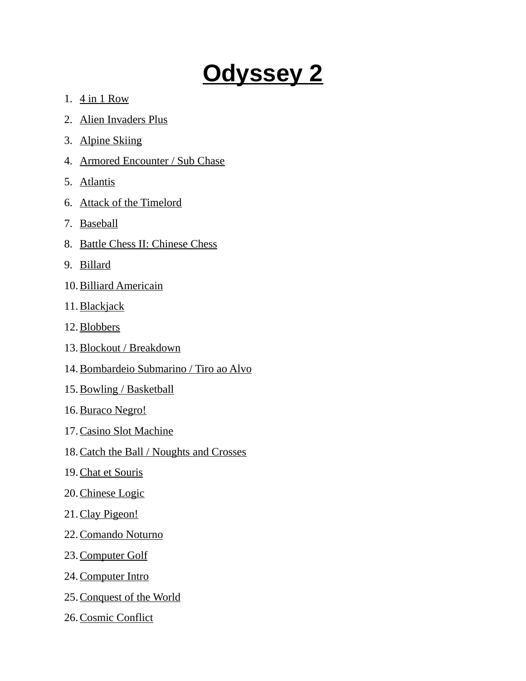## **Odyssey 2**

- 1. 4 in 1 Row
- 2. Alien Invaders Plus
- 3. Alpine Skiing
- 4. Armored Encounter / Sub Chase
- 5. Atlantis
- 6. Attack of the Timelord
- 7. Baseball
- 8. Battle Chess II: Chinese Chess
- 9. Billard
- 10. Billiard Americain
- 11. Blackjack
- 12. Blobbers
- 13. Blockout / Breakdown
- 14.Bombardeio Submarino / Tiro ao Alvo
- 15. Bowling / Basketball
- 16. Buraco Negro!
- 17. Casino Slot Machine
- 18. Catch the Ball / Noughts and Crosses
- 19. Chat et Souris
- 20. Chinese Logic
- 21. Clay Pigeon!
- 22. Comando Noturno
- 23. Computer Golf
- 24. Computer Intro
- 25. Conquest of the World
- 26. Cosmic Conflict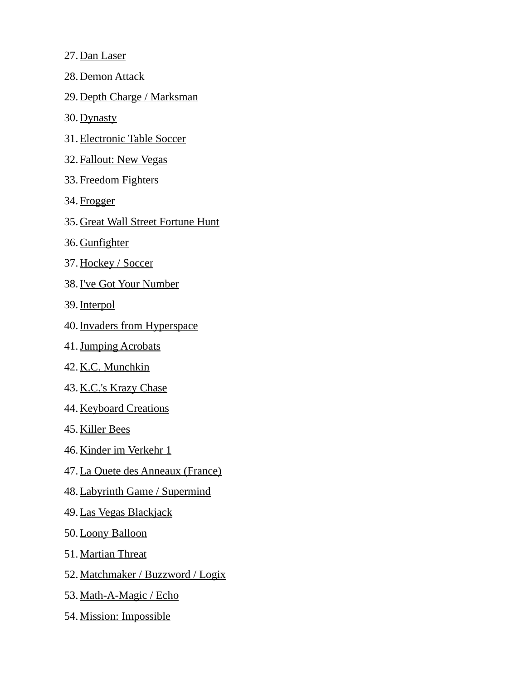- 27. Dan Laser
- 28. Demon Attack
- 29. Depth Charge / Marksman
- 30. Dynasty
- 31. Electronic Table Soccer
- 32. Fallout: New Vegas
- 33. Freedom Fighters
- 34. Frogger
- 35. Great Wall Street Fortune Hunt
- 36. Gunfighter
- 37. Hockey / Soccer
- 38. I've Got Your Number
- 39. Interpol
- 40. Invaders from Hyperspace
- 41. Jumping Acrobats
- 42. K.C. Munchkin
- 43. K.C.'s Krazy Chase
- 44. Keyboard Creations
- 45. Killer Bees
- 46. Kinder im Verkehr 1
- 47. La Quete des Anneaux (France)
- 48. Labyrinth Game / Supermind
- 49. Las Vegas Blackjack
- 50. Loony Balloon
- 51. Martian Threat
- 52. Matchmaker / Buzzword / Logix
- 53. Math-A-Magic / Echo
- 54. Mission: Impossible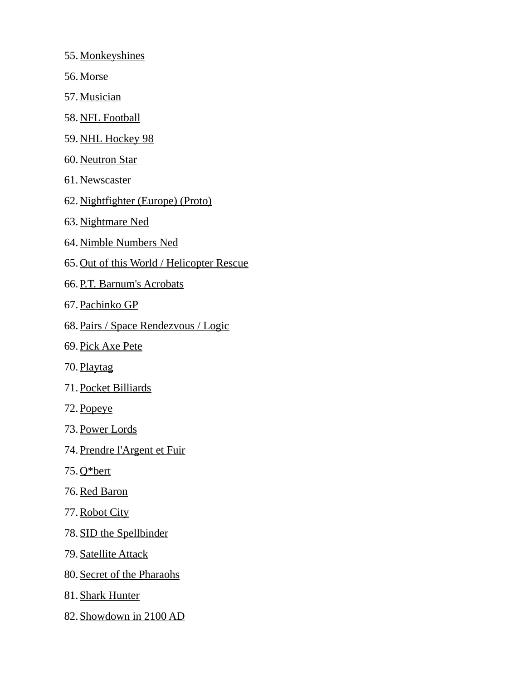- 55. Monkeyshines
- 56. Morse
- 57. Musician
- 58. NFL Football
- 59. NHL Hockey 98
- 60. Neutron Star
- 61. Newscaster
- 62. Nightfighter (Europe) (Proto)
- 63. Nightmare Ned
- 64. Nimble Numbers Ned
- 65. Out of this World / Helicopter Rescue
- 66. P.T. Barnum's Acrobats
- 67. Pachinko GP
- 68. Pairs / Space Rendezvous / Logic
- 69. Pick Axe Pete
- 70. Playtag
- 71. Pocket Billiards
- 72. Popeye
- 73. Power Lords
- 74. Prendre l'Argent et Fuir
- 75. Q\*bert
- 76. Red Baron
- 77. Robot City
- 78. SID the Spellbinder
- 79. Satellite Attack
- 80. Secret of the Pharaohs
- 81. Shark Hunter
- 82. Showdown in 2100 AD